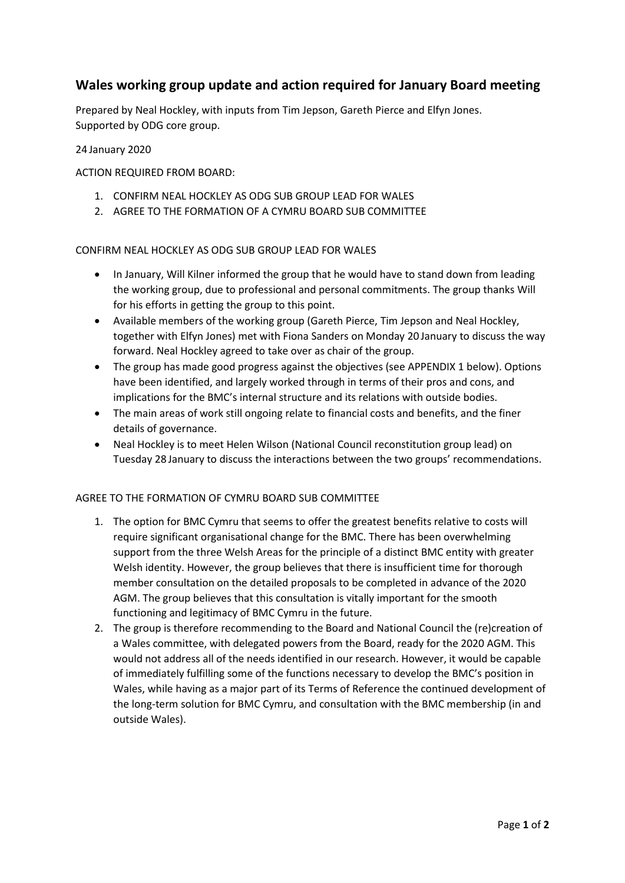## **Wales working group update and action required for January Board meeting**

Prepared by Neal Hockley, with inputs from Tim Jepson, Gareth Pierce and Elfyn Jones. Supported by ODG core group.

24 January 2020

ACTION REQUIRED FROM BOARD:

- 1. CONFIRM NEAL HOCKLEY AS ODG SUB GROUP LEAD FOR WALES
- 2. AGREE TO THE FORMATION OF A CYMRU BOARD SUB COMMITTEE

CONFIRM NEAL HOCKLEY AS ODG SUB GROUP LEAD FOR WALES

- In January, Will Kilner informed the group that he would have to stand down from leading the working group, due to professional and personal commitments. The group thanks Will for his efforts in getting the group to this point.
- Available members of the working group (Gareth Pierce, Tim Jepson and Neal Hockley, together with Elfyn Jones) met with Fiona Sanders on Monday 20 January to discuss the way forward. Neal Hockley agreed to take over as chair of the group.
- The group has made good progress against the objectives (see APPENDIX 1 below). Options have been identified, and largely worked through in terms of their pros and cons, and implications for the BMC's internal structure and its relations with outside bodies.
- The main areas of work still ongoing relate to financial costs and benefits, and the finer details of governance.
- Neal Hockley is to meet Helen Wilson (National Council reconstitution group lead) on Tuesday 28 January to discuss the interactions between the two groups' recommendations.

#### AGREE TO THE FORMATION OF CYMRU BOARD SUB COMMITTEE

- 1. The option for BMC Cymru that seems to offer the greatest benefits relative to costs will require significant organisational change for the BMC. There has been overwhelming support from the three Welsh Areas for the principle of a distinct BMC entity with greater Welsh identity. However, the group believes that there is insufficient time for thorough member consultation on the detailed proposals to be completed in advance of the 2020 AGM. The group believes that this consultation is vitally important for the smooth functioning and legitimacy of BMC Cymru in the future.
- 2. The group is therefore recommending to the Board and National Council the (re)creation of a Wales committee, with delegated powers from the Board, ready for the 2020 AGM. This would not address all of the needs identified in our research. However, it would be capable of immediately fulfilling some of the functions necessary to develop the BMC's position in Wales, while having as a major part of its Terms of Reference the continued development of the long-term solution for BMC Cymru, and consultation with the BMC membership (in and outside Wales).